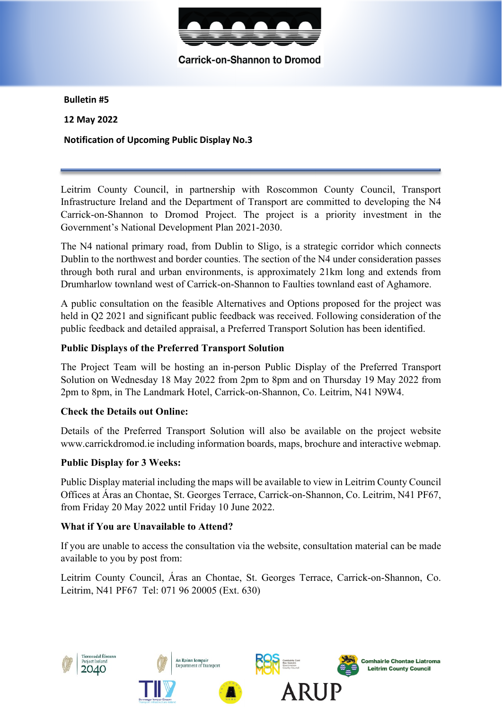

Carrick-on-Shannon to Dromod

**Bulletin #5** 

**12 May 2022** 

**Notification of Upcoming Public Display No.3**

Leitrim County Council, in partnership with Roscommon County Council, Transport Infrastructure Ireland and the Department of Transport are committed to developing the N4 Carrick-on-Shannon to Dromod Project. The project is a priority investment in the Government's National Development Plan 2021-2030.

The N4 national primary road, from Dublin to Sligo, is a strategic corridor which connects Dublin to the northwest and border counties. The section of the N4 under consideration passes through both rural and urban environments, is approximately 21km long and extends from Drumharlow townland west of Carrick-on-Shannon to Faulties townland east of Aghamore.

A public consultation on the feasible Alternatives and Options proposed for the project was held in Q2 2021 and significant public feedback was received. Following consideration of the public feedback and detailed appraisal, a Preferred Transport Solution has been identified.

## **Public Displays of the Preferred Transport Solution**

The Project Team will be hosting an in-person Public Display of the Preferred Transport Solution on Wednesday 18 May 2022 from 2pm to 8pm and on Thursday 19 May 2022 from 2pm to 8pm, in The Landmark Hotel, Carrick-on-Shannon, Co. Leitrim, N41 N9W4.

#### **Check the Details out Online:**

Details of the Preferred Transport Solution will also be available on the project website www.carrickdromod.ie including information boards, maps, brochure and interactive webmap.

#### **Public Display for 3 Weeks:**

Public Display material including the maps will be available to view in Leitrim County Council Offices at Áras an Chontae, St. Georges Terrace, Carrick-on-Shannon, Co. Leitrim, N41 PF67, from Friday 20 May 2022 until Friday 10 June 2022.

#### **What if You are Unavailable to Attend?**

If you are unable to access the consultation via the website, consultation material can be made available to you by post from:

Leitrim County Council, Áras an Chontae, St. Georges Terrace, Carrick-on-Shannon, Co. Leitrim, N41 PF67 Tel: 071 96 20005 (Ext. 630)